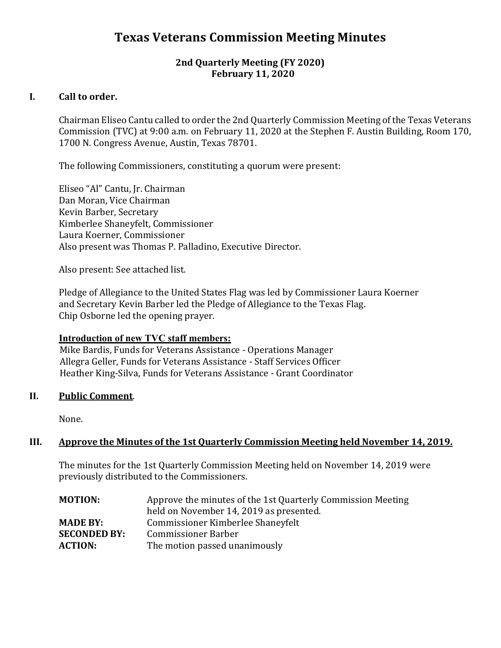# **Texas Veterans Commission Meeting Minutes**

# **2nd Quarterly Meeting (FY 2020) February 11, 2020**

# **I. Call to order.**

Chairman Eliseo Cantu called to order the 2nd Quarterly Commission Meeting of the Texas Veterans Commission (TVC) at 9:00 a.m. on February 11, 2020 at the Stephen F. Austin Building, Room 170, 1700 N. Congress Avenue, Austin, Texas 78701.

The following Commissioners, constituting a quorum were present:

Eliseo "Al" Cantu, Jr. Chairman Dan Moran, Vice Chairman Kevin Barber, Secretary Kimberlee Shaneyfelt, Commissioner Laura Koerner, Commissioner Also present was Thomas P. Palladino, Executive Director.

Also present: See attached list.

Pledge of Allegiance to the United States Flag was led by Commissioner Laura Koerner and Secretary Kevin Barber led the Pledge of Allegiance to the Texas Flag. Chip Osborne led the opening prayer.

# **Introduction of new TVC staff members:**

Mike Bardis, Funds for Veterans Assistance - Operations Manager Allegra Geller, Funds for Veterans Assistance - Staff Services Officer Heather King-Silva, Funds for Veterans Assistance - Grant Coordinator

# **II. Public Comment**.

None.

# **III. Approve the Minutes of the 1st Quarterly Commission Meeting held November 14, 2019.**

The minutes for the 1st Quarterly Commission Meeting held on November 14, 2019 were previously distributed to the Commissioners.

| <b>MOTION:</b>      | Approve the minutes of the 1st Quarterly Commission Meeting<br>held on November 14, 2019 as presented. |
|---------------------|--------------------------------------------------------------------------------------------------------|
| <b>MADE BY:</b>     | Commissioner Kimberlee Shaneyfelt                                                                      |
| <b>SECONDED BY:</b> | <b>Commissioner Barber</b>                                                                             |
| <b>ACTION:</b>      | The motion passed unanimously                                                                          |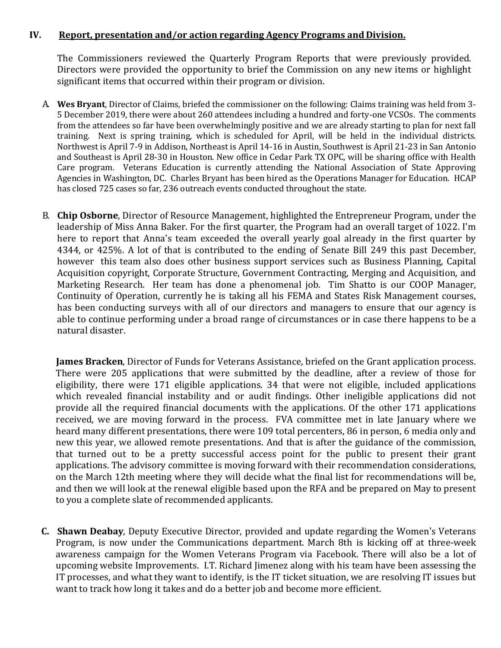## **IV. Report, presentation and/or action regarding Agency Programs and Division.**

The Commissioners reviewed the Quarterly Program Reports that were previously provided. Directors were provided the opportunity to brief the Commission on any new items or highlight significant items that occurred within their program or division.

- A. **Wes Bryant**, Director of Claims, briefed the commissioner on the following: Claims training was held from 3- 5 December 2019, there were about 260 attendees including a hundred and forty-one VCSOs. The comments from the attendees so far have been overwhelmingly positive and we are already starting to plan for next fall training. Next is spring training, which is scheduled for April, will be held in the individual districts. Northwest is April 7-9 in Addison, Northeast is April 14-16 in Austin, Southwest is April 21-23 in San Antonio and Southeast is April 28-30 in Houston. New office in Cedar Park TX OPC, will be sharing office with Health Care program. Veterans Education is currently attending the National Association of State Approving Agencies in Washington, DC. Charles Bryant has been hired as the Operations Manager for Education. HCAP has closed 725 cases so far, 236 outreach events conducted throughout the state.
- B. **Chip Osborne**, Director of Resource Management, highlighted the Entrepreneur Program, under the leadership of Miss Anna Baker. For the first quarter, the Program had an overall target of 1022. I'm here to report that Anna's team exceeded the overall yearly goal already in the first quarter by 4344, or 425%. A lot of that is contributed to the ending of Senate Bill 249 this past December, however this team also does other business support services such as Business Planning, Capital Acquisition copyright, Corporate Structure, Government Contracting, Merging and Acquisition, and Marketing Research. Her team has done a phenomenal job. Tim Shatto is our COOP Manager, Continuity of Operation, currently he is taking all his FEMA and States Risk Management courses, has been conducting surveys with all of our directors and managers to ensure that our agency is able to continue performing under a broad range of circumstances or in case there happens to be a natural disaster.

**James Bracken**, Director of Funds for Veterans Assistance, briefed on the Grant application process. There were 205 applications that were submitted by the deadline, after a review of those for eligibility, there were 171 eligible applications. 34 that were not eligible, included applications which revealed financial instability and or audit findings. Other ineligible applications did not provide all the required financial documents with the applications. Of the other 171 applications received, we are moving forward in the process. FVA committee met in late January where we heard many different presentations, there were 109 total percenters, 86 in person, 6 media only and new this year, we allowed remote presentations. And that is after the guidance of the commission, that turned out to be a pretty successful access point for the public to present their grant applications. The advisory committee is moving forward with their recommendation considerations, on the March 12th meeting where they will decide what the final list for recommendations will be, and then we will look at the renewal eligible based upon the RFA and be prepared on May to present to you a complete slate of recommended applicants.

**C. Shawn Deabay**, Deputy Executive Director, provided and update regarding the Women's Veterans Program, is now under the Communications department. March 8th is kicking off at three-week awareness campaign for the Women Veterans Program via Facebook. There will also be a lot of upcoming website Improvements. I.T. Richard Jimenez along with his team have been assessing the IT processes, and what they want to identify, is the IT ticket situation, we are resolving IT issues but want to track how long it takes and do a better job and become more efficient.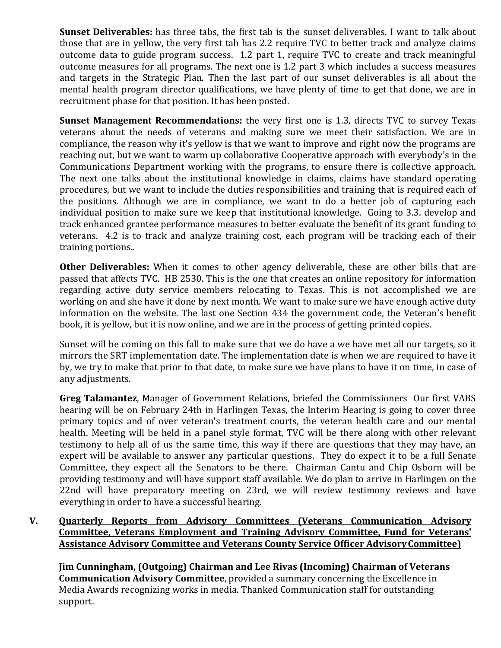**Sunset Deliverables:** has three tabs, the first tab is the sunset deliverables. I want to talk about those that are in yellow, the very first tab has 2.2 require TVC to better track and analyze claims outcome data to guide program success. 1.2 part 1, require TVC to create and track meaningful outcome measures for all programs. The next one is 1.2 part 3 which includes a success measures and targets in the Strategic Plan. Then the last part of our sunset deliverables is all about the mental health program director qualifications, we have plenty of time to get that done, we are in recruitment phase for that position. It has been posted.

**Sunset Management Recommendations:** the very first one is 1.3, directs TVC to survey Texas veterans about the needs of veterans and making sure we meet their satisfaction. We are in compliance, the reason why it's yellow is that we want to improve and right now the programs are reaching out, but we want to warm up collaborative Cooperative approach with everybody's in the Communications Department working with the programs, to ensure there is collective approach. The next one talks about the institutional knowledge in claims, claims have standard operating procedures, but we want to include the duties responsibilities and training that is required each of the positions. Although we are in compliance, we want to do a better job of capturing each individual position to make sure we keep that institutional knowledge. Going to 3.3. develop and track enhanced grantee performance measures to better evaluate the benefit of its grant funding to veterans. 4.2 is to track and analyze training cost, each program will be tracking each of their training portions..

**Other Deliverables:** When it comes to other agency deliverable, these are other bills that are passed that affects TVC. HB 2530. This is the one that creates an online repository for information regarding active duty service members relocating to Texas. This is not accomplished we are working on and she have it done by next month. We want to make sure we have enough active duty information on the website. The last one Section 434 the government code, the Veteran's benefit book, it is yellow, but it is now online, and we are in the process of getting printed copies.

Sunset will be coming on this fall to make sure that we do have a we have met all our targets, so it mirrors the SRT implementation date. The implementation date is when we are required to have it by, we try to make that prior to that date, to make sure we have plans to have it on time, in case of any adjustments.

**Greg Talamantez**, Manager of Government Relations, briefed the Commissioners Our first VABS hearing will be on February 24th in Harlingen Texas, the Interim Hearing is going to cover three primary topics and of over veteran's treatment courts, the veteran health care and our mental health. Meeting will be held in a panel style format, TVC will be there along with other relevant testimony to help all of us the same time, this way if there are questions that they may have, an expert will be available to answer any particular questions. They do expect it to be a full Senate Committee, they expect all the Senators to be there. Chairman Cantu and Chip Osborn will be providing testimony and will have support staff available. We do plan to arrive in Harlingen on the 22nd will have preparatory meeting on 23rd, we will review testimony reviews and have everything in order to have a successful hearing.

# **V. Quarterly Reports from Advisory Committees (Veterans Communication Advisory Committee, Veterans Employment and Training Advisory Committee, Fund for Veterans' Assistance Advisory Committee and Veterans County Service Officer AdvisoryCommittee)**

**Jim Cunningham, (Outgoing) Chairman and Lee Rivas (Incoming) Chairman of Veterans Communication Advisory Committee**, provided a summary concerning the Excellence in Media Awards recognizing works in media. Thanked Communication staff for outstanding support.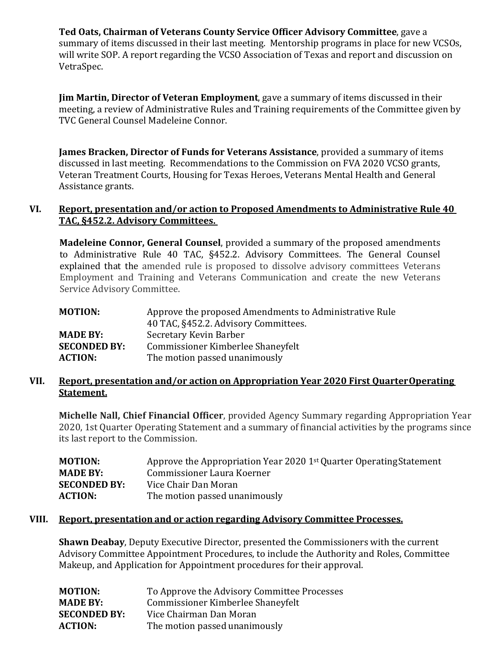**Ted Oats, Chairman of Veterans County Service Officer Advisory Committee**, gave a summary of items discussed in their last meeting. Mentorship programs in place for new VCSOs, will write SOP. A report regarding the VCSO Association of Texas and report and discussion on VetraSpec.

**Jim Martin, Director of Veteran Employment**, gave a summary of items discussed in their meeting, a review of Administrative Rules and Training requirements of the Committee given by TVC General Counsel Madeleine Connor.

**James Bracken, Director of Funds for Veterans Assistance**, provided a summary of items discussed in last meeting. Recommendations to the Commission on FVA 2020 VCSO grants, Veteran Treatment Courts, Housing for Texas Heroes, Veterans Mental Health and General Assistance grants.

#### **VI. Report, presentation and/or action to Proposed Amendments to Administrative Rule 40 TAC, §452.2. Advisory Committees.**

**Madeleine Connor, General Counsel**, provided a summary of the proposed amendments to Administrative Rule 40 TAC, §452.2. Advisory Committees. The General Counsel explained that the amended rule is proposed to dissolve advisory committees Veterans Employment and Training and Veterans Communication and create the new Veterans Service Advisory Committee.

| <b>MOTION:</b>      | Approve the proposed Amendments to Administrative Rule |
|---------------------|--------------------------------------------------------|
|                     | 40 TAC, §452.2. Advisory Committees.                   |
| <b>MADE BY:</b>     | Secretary Kevin Barber                                 |
| <b>SECONDED BY:</b> | Commissioner Kimberlee Shaneyfelt                      |
| <b>ACTION:</b>      | The motion passed unanimously                          |

# **VII. Report, presentation and/or action on Appropriation Year 2020 First QuarterOperating Statement.**

**Michelle Nall, Chief Financial Officer**, provided Agency Summary regarding Appropriation Year 2020, 1st Quarter Operating Statement and a summary of financial activities by the programs since its last report to the Commission.

| <b>MOTION:</b>      | Approve the Appropriation Year 2020 1 <sup>st</sup> Quarter Operating Statement |
|---------------------|---------------------------------------------------------------------------------|
| <b>MADE BY:</b>     | Commissioner Laura Koerner                                                      |
| <b>SECONDED BY:</b> | Vice Chair Dan Moran                                                            |
| <b>ACTION:</b>      | The motion passed unanimously                                                   |
|                     |                                                                                 |

#### **VIII. Report, presentation and or action regarding Advisory Committee Processes.**

**Shawn Deabay**, Deputy Executive Director, presented the Commissioners with the current Advisory Committee Appointment Procedures, to include the Authority and Roles, Committee Makeup, and Application for Appointment procedures for their approval.

| <b>MOTION:</b>      | To Approve the Advisory Committee Processes |
|---------------------|---------------------------------------------|
| <b>MADE BY:</b>     | Commissioner Kimberlee Shaneyfelt           |
| <b>SECONDED BY:</b> | Vice Chairman Dan Moran                     |
| <b>ACTION:</b>      | The motion passed unanimously               |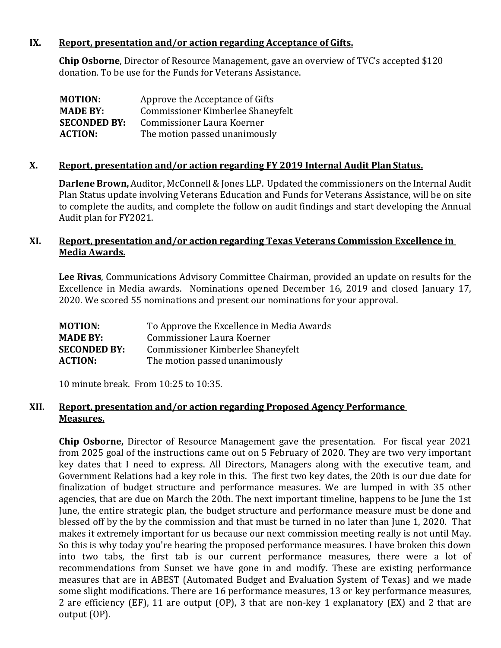# **IX. Report, presentation and/or action regarding Acceptance of Gifts.**

**Chip Osborne**, Director of Resource Management, gave an overview of TVC's accepted \$120 donation. To be use for the Funds for Veterans Assistance.

| <b>MOTION:</b>      | Approve the Acceptance of Gifts   |
|---------------------|-----------------------------------|
| <b>MADE BY:</b>     | Commissioner Kimberlee Shaneyfelt |
| <b>SECONDED BY:</b> | Commissioner Laura Koerner        |
| <b>ACTION:</b>      | The motion passed unanimously     |

# **X. Report, presentation and/or action regarding FY 2019 Internal Audit PlanStatus.**

**Darlene Brown,** Auditor, McConnell & Jones LLP. Updated the commissioners on the Internal Audit Plan Status update involving Veterans Education and Funds for Veterans Assistance, will be on site to complete the audits, and complete the follow on audit findings and start developing the Annual Audit plan for FY2021.

# **XI. Report, presentation and/or action regarding Texas Veterans Commission Excellence in Media Awards.**

**Lee Rivas**, Communications Advisory Committee Chairman, provided an update on results for the Excellence in Media awards. Nominations opened December 16, 2019 and closed January 17, 2020. We scored 55 nominations and present our nominations for your approval.

| <b>MOTION:</b>      | To Approve the Excellence in Media Awards |
|---------------------|-------------------------------------------|
| <b>MADE BY:</b>     | Commissioner Laura Koerner                |
| <b>SECONDED BY:</b> | Commissioner Kimberlee Shaneyfelt         |
| <b>ACTION:</b>      | The motion passed unanimously             |

10 minute break. From 10:25 to 10:35.

# **XII. Report, presentation and/or action regarding Proposed Agency Performance Measures.**

**Chip Osborne,** Director of Resource Management gave the presentation. For fiscal year 2021 from 2025 goal of the instructions came out on 5 February of 2020. They are two very important key dates that I need to express. All Directors, Managers along with the executive team, and Government Relations had a key role in this. The first two key dates, the 20th is our due date for finalization of budget structure and performance measures. We are lumped in with 35 other agencies, that are due on March the 20th. The next important timeline, happens to be June the 1st June, the entire strategic plan, the budget structure and performance measure must be done and blessed off by the by the commission and that must be turned in no later than June 1, 2020. That makes it extremely important for us because our next commission meeting really is not until May. So this is why today you're hearing the proposed performance measures. I have broken this down into two tabs, the first tab is our current performance measures, there were a lot of recommendations from Sunset we have gone in and modify. These are existing performance measures that are in ABEST (Automated Budget and Evaluation System of Texas) and we made some slight modifications. There are 16 performance measures, 13 or key performance measures, 2 are efficiency (EF), 11 are output (OP), 3 that are non-key 1 explanatory (EX) and 2 that are output (OP).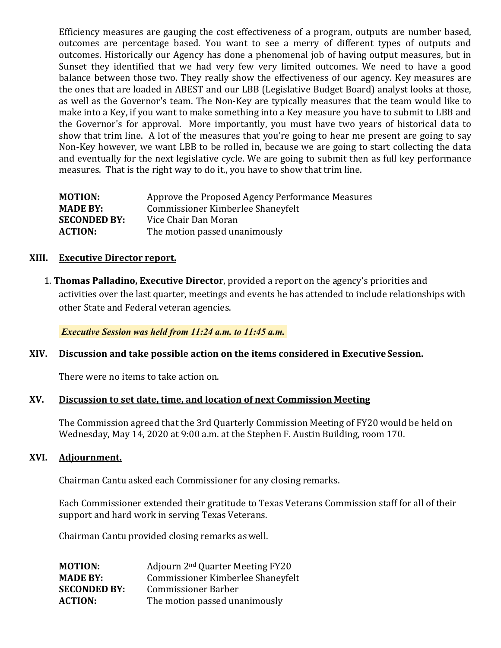Efficiency measures are gauging the cost effectiveness of a program, outputs are number based, outcomes are percentage based. You want to see a merry of different types of outputs and outcomes. Historically our Agency has done a phenomenal job of having output measures, but in Sunset they identified that we had very few very limited outcomes. We need to have a good balance between those two. They really show the effectiveness of our agency. Key measures are the ones that are loaded in ABEST and our LBB (Legislative Budget Board) analyst looks at those, as well as the Governor's team. The Non-Key are typically measures that the team would like to make into a Key, if you want to make something into a Key measure you have to submit to LBB and the Governor's for approval. More importantly, you must have two years of historical data to show that trim line. A lot of the measures that you're going to hear me present are going to say Non-Key however, we want LBB to be rolled in, because we are going to start collecting the data and eventually for the next legislative cycle. We are going to submit then as full key performance measures. That is the right way to do it., you have to show that trim line.

| <b>MOTION:</b>      | Approve the Proposed Agency Performance Measures |
|---------------------|--------------------------------------------------|
| <b>MADE BY:</b>     | Commissioner Kimberlee Shaneyfelt                |
| <b>SECONDED BY:</b> | Vice Chair Dan Moran                             |
| <b>ACTION:</b>      | The motion passed unanimously                    |
|                     |                                                  |

#### **XIII. Executive Director report.**

1. **Thomas Palladino, Executive Director**, provided a report on the agency's priorities and activities over the last quarter, meetings and events he has attended to include relationships with other State and Federal veteran agencies.

*Executive Session was held from 11:24 a.m. to 11:45 a.m.*

## **XIV. Discussion and take possible action on the items considered in Executive Session.**

There were no items to take action on.

#### **XV. Discussion to set date, time, and location of next Commission Meeting**

The Commission agreed that the 3rd Quarterly Commission Meeting of FY20 would be held on Wednesday, May 14, 2020 at 9:00 a.m. at the Stephen F. Austin Building, room 170.

#### **XVI. Adjournment.**

Chairman Cantu asked each Commissioner for any closing remarks.

Each Commissioner extended their gratitude to Texas Veterans Commission staff for all of their support and hard work in serving Texas Veterans.

Chairman Cantu provided closing remarks aswell.

| <b>MOTION:</b>      | Adjourn 2 <sup>nd</sup> Quarter Meeting FY20 |
|---------------------|----------------------------------------------|
| <b>MADE BY:</b>     | Commissioner Kimberlee Shaneyfelt            |
| <b>SECONDED BY:</b> | <b>Commissioner Barber</b>                   |
| <b>ACTION:</b>      | The motion passed unanimously                |